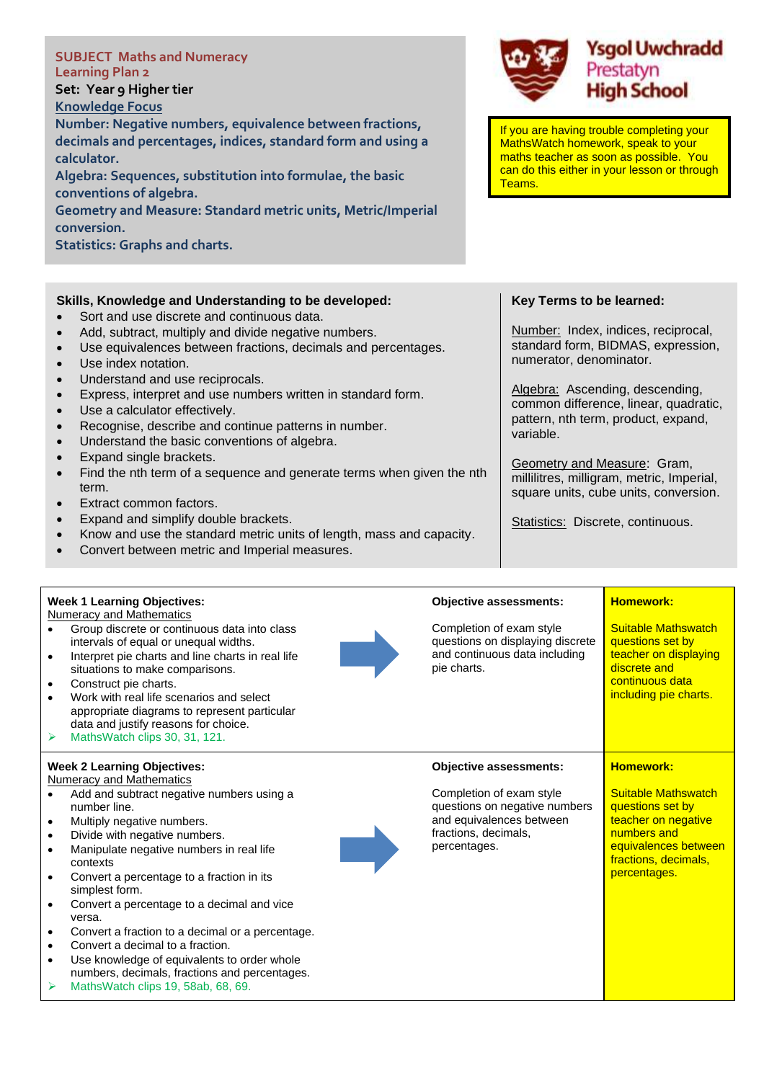| <b>SUBJECT Maths and Numeracy</b><br><b>Learning Plan 2</b><br>Set: Year 9 Higher tier<br><b>Knowledge Focus</b><br>Number: Negative numbers, equivalence between fractions,<br>decimals and percentages, indices, standard form and using a<br>calculator.<br>Algebra: Sequences, substitution into formulae, the basic<br>conventions of algebra.<br>Geometry and Measure: Standard metric units, Metric/Imperial<br>conversion.<br><b>Statistics: Graphs and charts.</b>                                                                                                                                                                                                                                                                                                                                                                                                                                                                                         | Teams.                        | <b>Ysgol Uwchradd</b><br>Prestatyn<br><b>High School</b><br>If you are having trouble completing your<br>MathsWatch homework, speak to your<br>maths teacher as soon as possible. You<br>can do this either in your lesson or through                                                                                                                                                                         |  |
|---------------------------------------------------------------------------------------------------------------------------------------------------------------------------------------------------------------------------------------------------------------------------------------------------------------------------------------------------------------------------------------------------------------------------------------------------------------------------------------------------------------------------------------------------------------------------------------------------------------------------------------------------------------------------------------------------------------------------------------------------------------------------------------------------------------------------------------------------------------------------------------------------------------------------------------------------------------------|-------------------------------|---------------------------------------------------------------------------------------------------------------------------------------------------------------------------------------------------------------------------------------------------------------------------------------------------------------------------------------------------------------------------------------------------------------|--|
| Skills, Knowledge and Understanding to be developed:<br>Sort and use discrete and continuous data.<br>$\bullet$<br>Add, subtract, multiply and divide negative numbers.<br>$\bullet$<br>Use equivalences between fractions, decimals and percentages.<br>$\bullet$<br>Use index notation.<br>$\bullet$<br>Understand and use reciprocals.<br>$\bullet$<br>Express, interpret and use numbers written in standard form.<br>$\bullet$<br>Use a calculator effectively.<br>$\bullet$<br>Recognise, describe and continue patterns in number.<br>$\bullet$<br>Understand the basic conventions of algebra.<br>$\bullet$<br>Expand single brackets.<br>Find the nth term of a sequence and generate terms when given the nth<br>term.<br>Extract common factors.<br>Expand and simplify double brackets.<br>$\bullet$<br>Know and use the standard metric units of length, mass and capacity.<br>$\bullet$<br>Convert between metric and Imperial measures.<br>$\bullet$ | variable.                     | Key Terms to be learned:<br>Number: Index, indices, reciprocal,<br>standard form, BIDMAS, expression,<br>numerator, denominator.<br>Algebra: Ascending, descending,<br>common difference, linear, quadratic,<br>pattern, nth term, product, expand,<br>Geometry and Measure: Gram,<br>millilitres, milligram, metric, Imperial,<br>square units, cube units, conversion.<br>Statistics: Discrete, continuous. |  |
| <b>Week 1 Learning Objectives:</b><br><b>Numeracy and Mathematics</b>                                                                                                                                                                                                                                                                                                                                                                                                                                                                                                                                                                                                                                                                                                                                                                                                                                                                                               | <b>Objective assessments:</b> | <b>Homework:</b>                                                                                                                                                                                                                                                                                                                                                                                              |  |

- Group discrete or continuous data into class intervals of equal or unequal widths.
- Interpret pie charts and line charts in real life situations to make comparisons.
- Construct pie charts.
- Work with real life scenarios and select appropriate diagrams to represent particular data and justify reasons for choice.
- ➢ MathsWatch clips 30, 31, 121.

## **Week 2 Learning Objectives:**

- Numeracy and Mathematics
- Add and subtract negative numbers using a number line.
- Multiply negative numbers.
- Divide with negative numbers.
- Manipulate negative numbers in real life contexts
- Convert a percentage to a fraction in its simplest form.
- Convert a percentage to a decimal and vice versa.
- Convert a fraction to a decimal or a percentage.
- Convert a decimal to a fraction.
- Use knowledge of equivalents to order whole numbers, decimals, fractions and percentages.
- MathsWatch clips 19, 58ab, 68, 69.



Completion of exam style questions on displaying discrete and continuous data including pie charts. Suitable Mathswatch questions set by teacher on displaying discrete and continuous data including pie charts.

## **Objective assessments:**

Completion of exam style questions on negative numbers and equivalences between fractions, decimals, percentages.

## **Homework:**

**Suitable Mathswatch** questions set by teacher on negative numbers and equivalences between fractions, decimals, percentages.